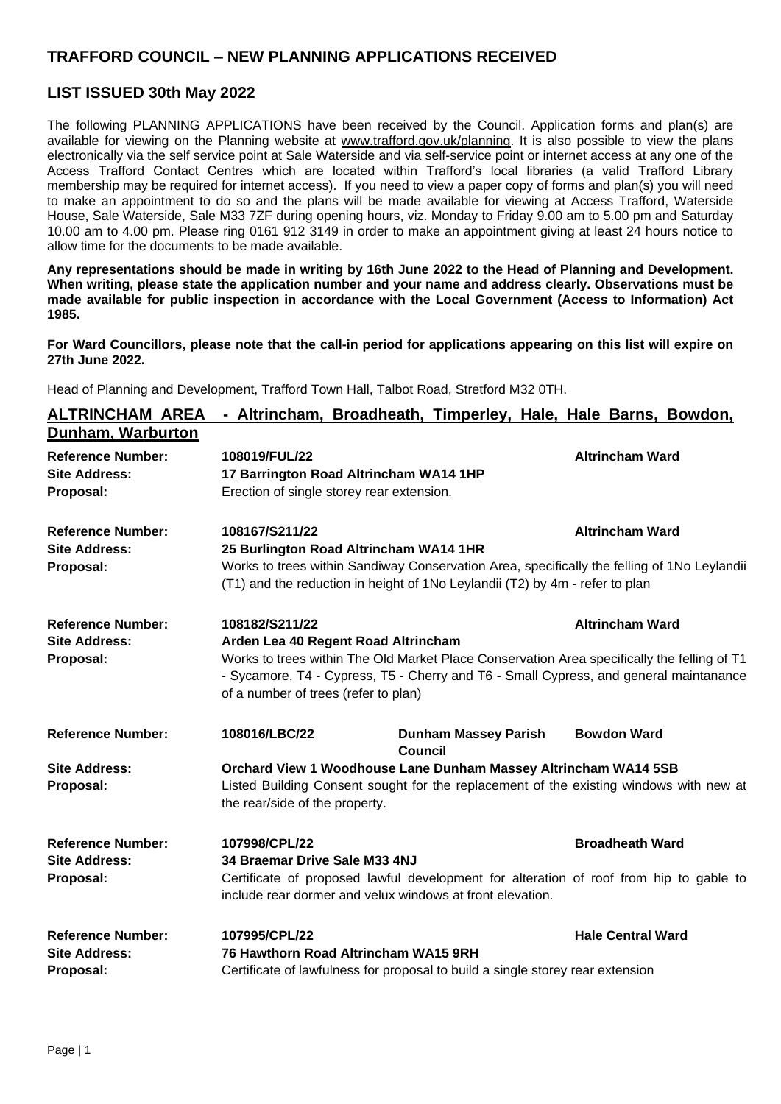## **TRAFFORD COUNCIL – NEW PLANNING APPLICATIONS RECEIVED**

## **LIST ISSUED 30th May 2022**

The following PLANNING APPLICATIONS have been received by the Council. Application forms and plan(s) are available for viewing on the Planning website at [www.trafford.gov.uk/planning.](http://www.trafford.gov.uk/planning) It is also possible to view the plans electronically via the self service point at Sale Waterside and via self-service point or internet access at any one of the Access Trafford Contact Centres which are located within Trafford's local libraries (a valid Trafford Library membership may be required for internet access). If you need to view a paper copy of forms and plan(s) you will need to make an appointment to do so and the plans will be made available for viewing at Access Trafford, Waterside House, Sale Waterside, Sale M33 7ZF during opening hours, viz. Monday to Friday 9.00 am to 5.00 pm and Saturday 10.00 am to 4.00 pm. Please ring 0161 912 3149 in order to make an appointment giving at least 24 hours notice to allow time for the documents to be made available.

**Any representations should be made in writing by 16th June 2022 to the Head of Planning and Development. When writing, please state the application number and your name and address clearly. Observations must be made available for public inspection in accordance with the Local Government (Access to Information) Act 1985.**

**For Ward Councillors, please note that the call-in period for applications appearing on this list will expire on 27th June 2022.**

Head of Planning and Development, Trafford Town Hall, Talbot Road, Stretford M32 0TH.

| <b>ALTRINCHAM AREA</b>   | - Altrincham, Broadheath, Timperley, Hale, Hale Barns, Bowdon,                                                                                                                                                               |                          |  |  |
|--------------------------|------------------------------------------------------------------------------------------------------------------------------------------------------------------------------------------------------------------------------|--------------------------|--|--|
| Dunham, Warburton        |                                                                                                                                                                                                                              |                          |  |  |
| <b>Reference Number:</b> | 108019/FUL/22                                                                                                                                                                                                                | <b>Altrincham Ward</b>   |  |  |
| <b>Site Address:</b>     | 17 Barrington Road Altrincham WA14 1HP                                                                                                                                                                                       |                          |  |  |
| Proposal:                | Erection of single storey rear extension.                                                                                                                                                                                    |                          |  |  |
| <b>Reference Number:</b> | 108167/S211/22                                                                                                                                                                                                               | <b>Altrincham Ward</b>   |  |  |
| <b>Site Address:</b>     | 25 Burlington Road Altrincham WA14 1HR                                                                                                                                                                                       |                          |  |  |
| Proposal:                | Works to trees within Sandiway Conservation Area, specifically the felling of 1No Leylandii<br>(T1) and the reduction in height of 1No Leylandii (T2) by 4m - refer to plan                                                  |                          |  |  |
| <b>Reference Number:</b> | 108182/S211/22                                                                                                                                                                                                               | <b>Altrincham Ward</b>   |  |  |
| <b>Site Address:</b>     | Arden Lea 40 Regent Road Altrincham                                                                                                                                                                                          |                          |  |  |
| Proposal:                | Works to trees within The Old Market Place Conservation Area specifically the felling of T1<br>- Sycamore, T4 - Cypress, T5 - Cherry and T6 - Small Cypress, and general maintanance<br>of a number of trees (refer to plan) |                          |  |  |
| <b>Reference Number:</b> | 108016/LBC/22<br><b>Dunham Massey Parish</b><br><b>Council</b>                                                                                                                                                               | <b>Bowdon Ward</b>       |  |  |
| <b>Site Address:</b>     | Orchard View 1 Woodhouse Lane Dunham Massey Altrincham WA14 5SB                                                                                                                                                              |                          |  |  |
| Proposal:                | Listed Building Consent sought for the replacement of the existing windows with new at<br>the rear/side of the property.                                                                                                     |                          |  |  |
| <b>Reference Number:</b> | 107998/CPL/22                                                                                                                                                                                                                | <b>Broadheath Ward</b>   |  |  |
| <b>Site Address:</b>     | 34 Braemar Drive Sale M33 4NJ                                                                                                                                                                                                |                          |  |  |
| Proposal:                | Certificate of proposed lawful development for alteration of roof from hip to gable to<br>include rear dormer and velux windows at front elevation.                                                                          |                          |  |  |
| <b>Reference Number:</b> | 107995/CPL/22                                                                                                                                                                                                                | <b>Hale Central Ward</b> |  |  |
| <b>Site Address:</b>     | 76 Hawthorn Road Altrincham WA15 9RH                                                                                                                                                                                         |                          |  |  |
| Proposal:                | Certificate of lawfulness for proposal to build a single storey rear extension                                                                                                                                               |                          |  |  |
|                          |                                                                                                                                                                                                                              |                          |  |  |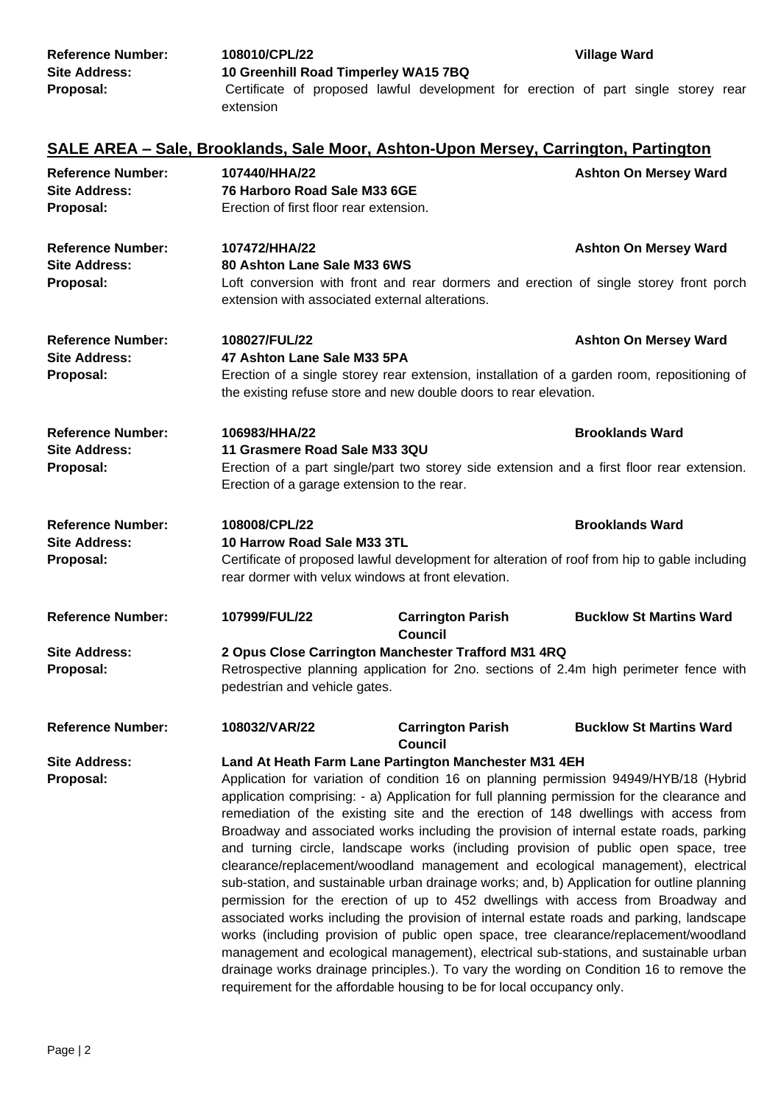| <b>Reference Number:</b><br><b>Site Address:</b><br>Proposal: | 108010/CPL/22<br>10 Greenhill Road Timperley WA15 7BQ<br>extension                                                                                                                 |                                     | <b>Village Ward</b><br>Certificate of proposed lawful development for erection of part single storey rear                                                                                                                                                                                                                                                                                                                                                                                                                                                                                                                                                                                                                                                                                                                                                                                                                                                                                                                                                                                                    |  |
|---------------------------------------------------------------|------------------------------------------------------------------------------------------------------------------------------------------------------------------------------------|-------------------------------------|--------------------------------------------------------------------------------------------------------------------------------------------------------------------------------------------------------------------------------------------------------------------------------------------------------------------------------------------------------------------------------------------------------------------------------------------------------------------------------------------------------------------------------------------------------------------------------------------------------------------------------------------------------------------------------------------------------------------------------------------------------------------------------------------------------------------------------------------------------------------------------------------------------------------------------------------------------------------------------------------------------------------------------------------------------------------------------------------------------------|--|
|                                                               |                                                                                                                                                                                    |                                     | <b>SALE AREA – Sale, Brooklands, Sale Moor, Ashton-Upon Mersey, Carrington, Partington</b>                                                                                                                                                                                                                                                                                                                                                                                                                                                                                                                                                                                                                                                                                                                                                                                                                                                                                                                                                                                                                   |  |
| <b>Reference Number:</b><br><b>Site Address:</b><br>Proposal: | 107440/HHA/22<br>76 Harboro Road Sale M33 6GE<br>Erection of first floor rear extension.                                                                                           |                                     | <b>Ashton On Mersey Ward</b>                                                                                                                                                                                                                                                                                                                                                                                                                                                                                                                                                                                                                                                                                                                                                                                                                                                                                                                                                                                                                                                                                 |  |
| <b>Reference Number:</b><br><b>Site Address:</b>              | 107472/HHA/22<br>80 Ashton Lane Sale M33 6WS                                                                                                                                       |                                     | <b>Ashton On Mersey Ward</b>                                                                                                                                                                                                                                                                                                                                                                                                                                                                                                                                                                                                                                                                                                                                                                                                                                                                                                                                                                                                                                                                                 |  |
| Proposal:                                                     | Loft conversion with front and rear dormers and erection of single storey front porch<br>extension with associated external alterations.                                           |                                     |                                                                                                                                                                                                                                                                                                                                                                                                                                                                                                                                                                                                                                                                                                                                                                                                                                                                                                                                                                                                                                                                                                              |  |
| <b>Reference Number:</b><br><b>Site Address:</b>              | 108027/FUL/22<br>47 Ashton Lane Sale M33 5PA                                                                                                                                       |                                     | <b>Ashton On Mersey Ward</b>                                                                                                                                                                                                                                                                                                                                                                                                                                                                                                                                                                                                                                                                                                                                                                                                                                                                                                                                                                                                                                                                                 |  |
| Proposal:                                                     | Erection of a single storey rear extension, installation of a garden room, repositioning of<br>the existing refuse store and new double doors to rear elevation.                   |                                     |                                                                                                                                                                                                                                                                                                                                                                                                                                                                                                                                                                                                                                                                                                                                                                                                                                                                                                                                                                                                                                                                                                              |  |
| <b>Reference Number:</b>                                      | 106983/HHA/22                                                                                                                                                                      |                                     | <b>Brooklands Ward</b>                                                                                                                                                                                                                                                                                                                                                                                                                                                                                                                                                                                                                                                                                                                                                                                                                                                                                                                                                                                                                                                                                       |  |
| <b>Site Address:</b><br>Proposal:                             | 11 Grasmere Road Sale M33 3QU<br>Erection of a part single/part two storey side extension and a first floor rear extension.<br>Erection of a garage extension to the rear.         |                                     |                                                                                                                                                                                                                                                                                                                                                                                                                                                                                                                                                                                                                                                                                                                                                                                                                                                                                                                                                                                                                                                                                                              |  |
| <b>Reference Number:</b>                                      | 108008/CPL/22                                                                                                                                                                      |                                     | <b>Brooklands Ward</b>                                                                                                                                                                                                                                                                                                                                                                                                                                                                                                                                                                                                                                                                                                                                                                                                                                                                                                                                                                                                                                                                                       |  |
| <b>Site Address:</b><br>Proposal:                             | 10 Harrow Road Sale M33 3TL<br>Certificate of proposed lawful development for alteration of roof from hip to gable including<br>rear dormer with velux windows at front elevation. |                                     |                                                                                                                                                                                                                                                                                                                                                                                                                                                                                                                                                                                                                                                                                                                                                                                                                                                                                                                                                                                                                                                                                                              |  |
| <b>Reference Number:</b>                                      | 107999/FUL/22                                                                                                                                                                      | <b>Carrington Parish</b><br>Council | <b>Bucklow St Martins Ward</b>                                                                                                                                                                                                                                                                                                                                                                                                                                                                                                                                                                                                                                                                                                                                                                                                                                                                                                                                                                                                                                                                               |  |
| <b>Site Address:</b><br>Proposal:                             | 2 Opus Close Carrington Manchester Trafford M31 4RQ<br>Retrospective planning application for 2no. sections of 2.4m high perimeter fence with<br>pedestrian and vehicle gates.     |                                     |                                                                                                                                                                                                                                                                                                                                                                                                                                                                                                                                                                                                                                                                                                                                                                                                                                                                                                                                                                                                                                                                                                              |  |
| <b>Reference Number:</b>                                      | 108032/VAR/22                                                                                                                                                                      | <b>Carrington Parish</b><br>Council | <b>Bucklow St Martins Ward</b>                                                                                                                                                                                                                                                                                                                                                                                                                                                                                                                                                                                                                                                                                                                                                                                                                                                                                                                                                                                                                                                                               |  |
| <b>Site Address:</b><br>Proposal:                             | Land At Heath Farm Lane Partington Manchester M31 4EH<br>requirement for the affordable housing to be for local occupancy only.                                                    |                                     | Application for variation of condition 16 on planning permission 94949/HYB/18 (Hybrid<br>application comprising: - a) Application for full planning permission for the clearance and<br>remediation of the existing site and the erection of 148 dwellings with access from<br>Broadway and associated works including the provision of internal estate roads, parking<br>and turning circle, landscape works (including provision of public open space, tree<br>clearance/replacement/woodland management and ecological management), electrical<br>sub-station, and sustainable urban drainage works; and, b) Application for outline planning<br>permission for the erection of up to 452 dwellings with access from Broadway and<br>associated works including the provision of internal estate roads and parking, landscape<br>works (including provision of public open space, tree clearance/replacement/woodland<br>management and ecological management), electrical sub-stations, and sustainable urban<br>drainage works drainage principles.). To vary the wording on Condition 16 to remove the |  |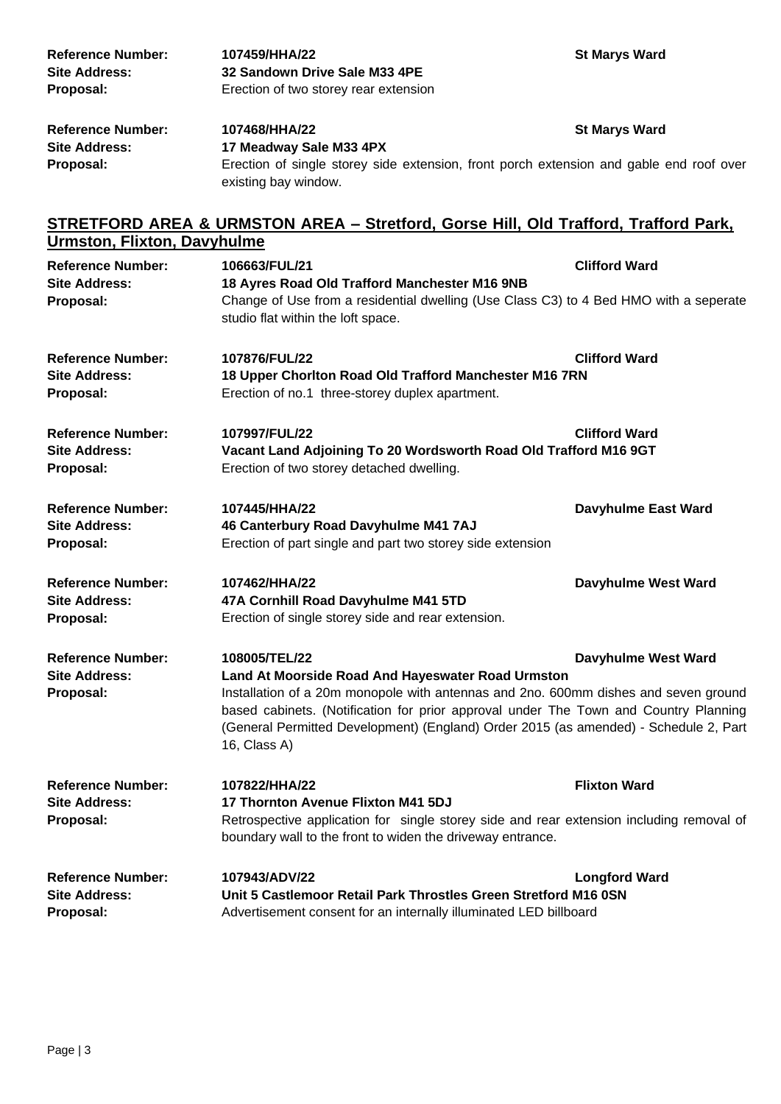| <b>Reference Number:</b><br><b>Site Address:</b><br>Proposal:                                                                 | 107468/HHA/22<br>17 Meadway Sale M33 4PX<br>Erection of single storey side extension, front porch extension and gable end roof over<br>existing bay window.                                                                                                                                                                                               | <b>St Marys Ward</b> |  |  |  |  |
|-------------------------------------------------------------------------------------------------------------------------------|-----------------------------------------------------------------------------------------------------------------------------------------------------------------------------------------------------------------------------------------------------------------------------------------------------------------------------------------------------------|----------------------|--|--|--|--|
| <b>STRETFORD AREA &amp; URMSTON AREA - Stretford, Gorse Hill, Old Trafford, Trafford Park,</b><br>Urmston, Flixton, Davyhulme |                                                                                                                                                                                                                                                                                                                                                           |                      |  |  |  |  |
| <b>Reference Number:</b><br><b>Site Address:</b><br>Proposal:                                                                 | 106663/FUL/21<br>18 Ayres Road Old Trafford Manchester M16 9NB<br>Change of Use from a residential dwelling (Use Class C3) to 4 Bed HMO with a seperate<br>studio flat within the loft space.                                                                                                                                                             | <b>Clifford Ward</b> |  |  |  |  |
| <b>Reference Number:</b><br><b>Site Address:</b><br>Proposal:                                                                 | 107876/FUL/22<br>18 Upper Chorlton Road Old Trafford Manchester M16 7RN<br>Erection of no.1 three-storey duplex apartment.                                                                                                                                                                                                                                | <b>Clifford Ward</b> |  |  |  |  |
| <b>Reference Number:</b><br><b>Site Address:</b><br>Proposal:                                                                 | 107997/FUL/22<br><b>Clifford Ward</b><br>Vacant Land Adjoining To 20 Wordsworth Road Old Trafford M16 9GT<br>Erection of two storey detached dwelling.                                                                                                                                                                                                    |                      |  |  |  |  |
| <b>Reference Number:</b><br><b>Site Address:</b><br>Proposal:                                                                 | 107445/HHA/22<br>46 Canterbury Road Davyhulme M41 7AJ<br>Erection of part single and part two storey side extension                                                                                                                                                                                                                                       | Davyhulme East Ward  |  |  |  |  |
| <b>Reference Number:</b><br><b>Site Address:</b><br>Proposal:                                                                 | 107462/HHA/22<br>47A Cornhill Road Davyhulme M41 5TD<br>Erection of single storey side and rear extension.                                                                                                                                                                                                                                                | Davyhulme West Ward  |  |  |  |  |
| <b>Reference Number:</b><br><b>Site Address:</b><br>Proposal:                                                                 | 108005/TEL/22<br>Land At Moorside Road And Hayeswater Road Urmston<br>Installation of a 20m monopole with antennas and 2no. 600mm dishes and seven ground<br>based cabinets. (Notification for prior approval under The Town and Country Planning<br>(General Permitted Development) (England) Order 2015 (as amended) - Schedule 2, Part<br>16, Class A) | Davyhulme West Ward  |  |  |  |  |
| <b>Reference Number:</b><br><b>Site Address:</b><br>Proposal:                                                                 | 107822/HHA/22<br>17 Thornton Avenue Flixton M41 5DJ<br>Retrospective application for single storey side and rear extension including removal of<br>boundary wall to the front to widen the driveway entrance.                                                                                                                                             | <b>Flixton Ward</b>  |  |  |  |  |
| <b>Reference Number:</b><br><b>Site Address:</b><br>Proposal:                                                                 | 107943/ADV/22<br>Unit 5 Castlemoor Retail Park Throstles Green Stretford M16 0SN<br>Advertisement consent for an internally illuminated LED billboard                                                                                                                                                                                                     | <b>Longford Ward</b> |  |  |  |  |

**Reference Number: 107459/HHA/22 St Marys Ward**

**Site Address: 32 Sandown Drive Sale M33 4PE Proposal:** Erection of two storey rear extension